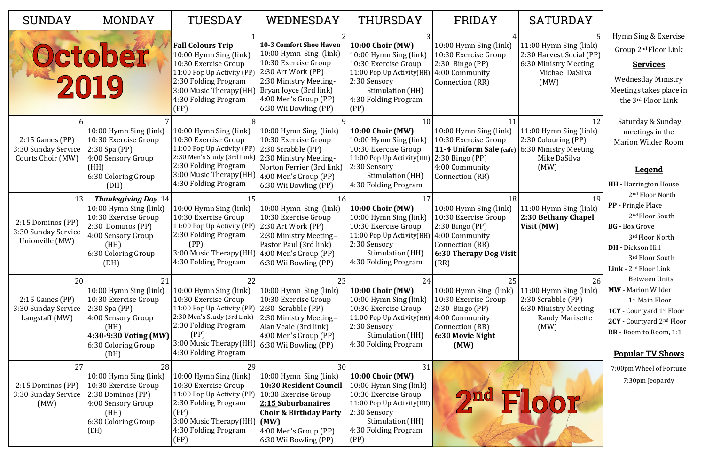| <b>SUNDAY</b>                                                     | <b>MONDAY</b>                                                                                                                                                  | TUESDAY                                                                                                                                                                                                                   | WEDNESDAY                                                                                                                                                                                                    | THURSDAY                                                                                                                                                                          | FRIDAY                                                                                                                                                  | <b>SATURDAY</b>                                                                                        |
|-------------------------------------------------------------------|----------------------------------------------------------------------------------------------------------------------------------------------------------------|---------------------------------------------------------------------------------------------------------------------------------------------------------------------------------------------------------------------------|--------------------------------------------------------------------------------------------------------------------------------------------------------------------------------------------------------------|-----------------------------------------------------------------------------------------------------------------------------------------------------------------------------------|---------------------------------------------------------------------------------------------------------------------------------------------------------|--------------------------------------------------------------------------------------------------------|
|                                                                   | October<br>2019                                                                                                                                                | <b>Fall Colours Trip</b><br>10:00 Hymn Sing (link)<br>10:30 Exercise Group<br>11:00 Pop Up Activity (PP)<br>2:30 Folding Program<br>3:00 Music Therapy(HH)<br>4:30 Folding Program<br>(PP)                                | <b>10-3 Comfort Shoe Haven</b><br>10:00 Hymn Sing (link)<br>10:30 Exercise Group<br>2:30 Art Work (PP)<br>2:30 Ministry Meeting-<br>Bryan Joyce (3rd link)<br>4:00 Men's Group (PP)<br>6:30 Wii Bowling (PP) | <b>10:00 Choir (MW)</b><br>10:00 Hymn Sing (link)<br>10:30 Exercise Group<br>11:00 Pop Up Activity(HH)<br>2:30 Sensory<br>Stimulation (HH)<br>4:30 Folding Program<br>(PP)        | 10:00 Hymn Sing (link)<br>10:30 Exercise Group<br>$2:30$ Bingo (PP)<br>4:00 Community<br>Connection (RR)                                                | 11:00 Hymn Sing (linl<br>2:30 Harvest Social (F<br>6:30 Ministry Meeting<br>Michael DaSilva<br>(MW)    |
| $2:15$ Games (PP)<br>3:30 Sunday Service<br>Courts Choir (MW)     | 10:00 Hymn Sing (link)<br>10:30 Exercise Group<br>$2:30$ Spa (PP)<br>4:00 Sensory Group<br>(HH)<br>6:30 Coloring Group<br>(DH)                                 | 10:00 Hymn Sing (link)<br>10:30 Exercise Group<br>11:00 Pop Up Activity (PP)<br>2:30 Men's Study (3rd Link)<br>2:30 Folding Program<br>3:00 Music Therapy(HH)<br>4:30 Folding Program                                     | 10:00 Hymn Sing (link)<br>10:30 Exercise Group<br>$ 2:30$ Scrabble (PP)<br>2:30 Ministry Meeting-<br>Norton Ferrier (3rd link)<br>4:00 Men's Group (PP)<br>6:30 Wii Bowling (PP)                             | 10<br><b>10:00 Choir (MW)</b><br>10:00 Hymn Sing (link)<br>10:30 Exercise Group<br>11:00 Pop Up Activity(HH)<br>2:30 Sensory<br>Stimulation (HH)<br>4:30 Folding Program          | 10:00 Hymn Sing (link)<br>10:30 Exercise Group<br>11-4 Uniform Sale (cafe)<br>2:30 Bingo (PP)<br>4:00 Community<br>Connection (RR)                      | 11:00 Hymn Sing (linl<br>2:30 Colouring (PP)<br>6:30 Ministry Meeting<br>Mike DaSilva<br>(MW)          |
| 13<br>2:15 Dominos (PP)<br>3:30 Sunday Service<br>Unionville (MW) | <b>Thanksgiving Day 14</b><br>10:00 Hymn Sing (link)<br>10:30 Exercise Group<br>2:30 Dominos (PP)<br>4:00 Sensory Group<br>(HH)<br>6:30 Coloring Group<br>(DH) | 15<br>10:00 Hymn Sing (link)<br>10:30 Exercise Group<br>11:00 Pop Up Activity (PP)<br>2:30 Folding Program<br>(PP)<br>3:00 Music Therapy (HH)<br>4:30 Folding Program                                                     | 16<br>10:00 Hymn Sing (link)<br>10:30 Exercise Group<br>2:30 Art Work (PP)<br>2:30 Ministry Meeting-<br>Pastor Paul (3rd link)<br>4:00 Men's Group (PP)<br>6:30 Wii Bowling (PP)                             | 17<br><b>10:00 Choir (MW)</b><br>10:00 Hymn Sing (link)<br>10:30 Exercise Group<br>11:00 Pop Up Activity(HH)<br>2:30 Sensory<br>Stimulation (HH)<br>4:30 Folding Program          | 18<br>10:00 Hymn Sing (link)<br>10:30 Exercise Group<br>$2:30$ Bingo (PP)<br>4:00 Community<br>Connection (RR)<br><b>6:30 Therapy Dog Visit</b><br>(RR) | 11:00 Hymn Sing (linl<br>2:30 Bethany Chape<br>Visit (MW)                                              |
| 20<br>$2:15$ Games (PP)<br>3:30 Sunday Service<br>Langstaff (MW)  | 21<br>10:00 Hymn Sing (link)<br>10:30 Exercise Group<br>$2:30$ Spa (PP)<br>4:00 Sensory Group<br>(HH)<br>4:30-9:30 Voting (MW)<br>6:30 Coloring Group<br>(DH)  | 22<br>10:00 Hymn Sing (link)<br>10:30 Exercise Group<br>11:00 Pop Up Activity (PP)<br>2:30 Men's Study (3rd Link)<br>2:30 Folding Program<br>(PP)<br>3:00 Music Therapy(HH) 6:30 Wii Bowling (PP)<br>4:30 Folding Program | 23<br>10:00 Hymn Sing (link)<br>10:30 Exercise Group<br>$\vert$ 2:30 Scrabble (PP)<br>2:30 Ministry Meeting-<br>Alan Veale (3rd link)<br>4:00 Men's Group (PP)                                               | 24<br><b>10:00 Choir (MW)</b><br>10:00 Hymn Sing (link)<br>10:30 Exercise Group<br>11:00 Pop Up Activity(HH)<br>2:30 Sensory<br>Stimulation (HH)<br>4:30 Folding Program          | 25<br>10:00 Hymn Sing (link)<br>10:30 Exercise Group<br>2:30 Bingo (PP)<br>4:00 Community<br>Connection (RR)<br>6:30 Movie Night<br>(MW)                | 11:00 Hymn Sing (linl<br>2:30 Scrabble (PP)<br>6:30 Ministry Meeting<br><b>Randy Marisette</b><br>(MW) |
| 27<br>2:15 Dominos (PP)<br>3:30 Sunday Service<br>(MW)            | 28<br>10:00 Hymn Sing (link)<br>10:30 Exercise Group<br>2:30 Dominos (PP)<br>4:00 Sensory Group<br>(HH)<br>6:30 Coloring Group<br>(DH)                         | 29<br>10:00 Hymn Sing (link)<br>10:30 Exercise Group<br>11:00 Pop Up Activity (PP)<br>2:30 Folding Program<br>(PP)<br>3:00 Music Therapy(HH)   (MW)<br>4:30 Folding Program<br>(PP)                                       | 30<br>$(10:00)$ Hymn Sing (link)<br>10:30 Resident Council<br>10:30 Exercise Group<br>2:15 Suburbanaires<br><b>Choir &amp; Birthday Party</b><br>4:00 Men's Group (PP)<br>6:30 Wii Bowling (PP)              | 31<br><b>10:00 Choir (MW)</b><br>10:00 Hymn Sing (link)<br>10:30 Exercise Group<br>11:00 Pop Up Activity (HH)<br>2:30 Sensory<br>Stimulation (HH)<br>4:30 Folding Program<br>(PP) |                                                                                                                                                         |                                                                                                        |

| SATURDAY                                                                                                    |                                                                                                                                                                                                                                                                                                  |
|-------------------------------------------------------------------------------------------------------------|--------------------------------------------------------------------------------------------------------------------------------------------------------------------------------------------------------------------------------------------------------------------------------------------------|
| 5<br>11:00 Hymn Sing (link)<br>2:30 Harvest Social (PP)<br>6:30 Ministry Meeting<br>Michael DaSilva<br>(MW) | Hymn Sing & Exercise<br>Group 2 <sup>nd</sup> Floor Link<br><b>Services</b><br>Wednesday Ministry<br>Meetings takes place in<br>the 3 <sup>rd</sup> Floor Link                                                                                                                                   |
| 12<br>11:00 Hymn Sing (link)<br>2:30 Colouring (PP)<br>6:30 Ministry Meeting<br>Mike DaSilva<br>(MW)        | Saturday & Sunday<br>meetings in the<br><b>Marion Wilder Room</b><br><u>Legend</u>                                                                                                                                                                                                               |
| 19<br>11:00 Hymn Sing (link)<br>2:30 Bethany Chapel<br>Visit (MW)<br>26<br>11:00 Hymn Sing (link)           | <b>HH</b> - Harrington House<br>2 <sup>nd</sup> Floor North<br><b>PP</b> - Pringle Place<br>2 <sup>nd</sup> Floor South<br><b>BG</b> - Box Grove<br>3rd Floor North<br>DH - Dickson Hill<br>3rd Floor South<br><b>Link - 2nd Floor Link</b><br><b>Between Units</b><br><b>MW</b> - Marion Wilder |
| 2:30 Scrabble (PP)<br>6:30 Ministry Meeting<br>Randy Marisette<br>(MW)                                      | 1 <sup>st</sup> Main Floor<br><b>1CY</b> - Courtyard 1 <sup>st</sup> Floor<br>2CY - Courtyard 2nd Floor<br>RR - Room to Room, 1:1<br><b>Popular TV Shows</b>                                                                                                                                     |
| $\Box$                                                                                                      | 7:00pm Wheel of Fortune<br>7:30pm Jeopardy                                                                                                                                                                                                                                                       |